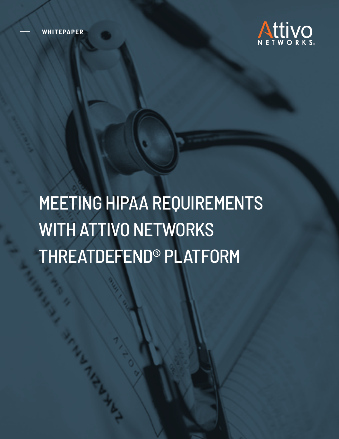**WHITEPAPER**



# MEETING HIPAA REQUIREMENTS WITH ATTIVO NETWORKS THREATDEFEND® PLATFORM

Whitepaper **www.attivonetworks.com** 1999 **www.attivonetworks.com** 1999 **www.attivonetworks.com** 1999 **www.attivonetworks.com**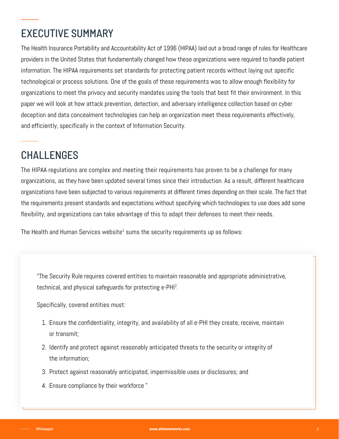# EXECUTIVE SUMMARY

The Health Insurance Portability and Accountability Act of 1996 (HIPAA) laid out a broad range of rules for Healthcare providers in the United States that fundamentally changed how these organizations were required to handle patient information. The HIPAA requirements set standards for protecting patient records without laying out specific technological or process solutions. One of the goals of these requirements was to allow enough flexibility for organizations to meet the privacy and security mandates using the tools that best fit their environment. In this paper we will look at how attack prevention, detection, and adversary intelligence collection based on cyber deception and data concealment technologies can help an organization meet these requirements effectively, and efficiently, specifically in the context of Information Security.

# CHALLENGES

The HIPAA regulations are complex and meeting their requirements has proven to be a challenge for many organizations, as they have been updated several times since their introduction. As a result, different healthcare organizations have been subjected to various requirements at different times depending on their scale. The fact that the requirements present standards and expectations without specifying which technologies to use does add some flexibility, and organizations can take advantage of this to adapt their defenses to meet their needs.

The Health and Human Services website $^{\text{1}}$  sums the security requirements up as follows:

"The Security Rule requires covered entities to maintain reasonable and appropriate administrative, technical, and physical safeguards for protecting e-PHI2 .

Specifically, covered entities must:

- 1. Ensure the confidentiality, integrity, and availability of all e-PHI they create, receive, maintain or transmit;
- 2. Identify and protect against reasonably anticipated threats to the security or integrity of the information;
- 3. Protect against reasonably anticipated, impermissible uses or disclosures; and
- 4. Ensure compliance by their workforce "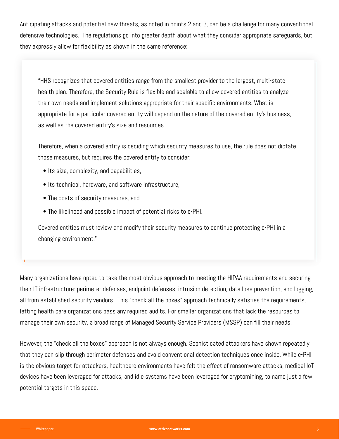Anticipating attacks and potential new threats, as noted in points 2 and 3, can be a challenge for many conventional defensive technologies. The regulations go into greater depth about what they consider appropriate safeguards, but they expressly allow for flexibility as shown in the same reference:

"HHS recognizes that covered entities range from the smallest provider to the largest, multi-state health plan. Therefore, the Security Rule is flexible and scalable to allow covered entities to analyze their own needs and implement solutions appropriate for their specific environments. What is appropriate for a particular covered entity will depend on the nature of the covered entity's business, as well as the covered entity's size and resources.

Therefore, when a covered entity is deciding which security measures to use, the rule does not dictate those measures, but requires the covered entity to consider:

- Its size, complexity, and capabilities,
- Its technical, hardware, and software infrastructure,
- The costs of security measures, and
- The likelihood and possible impact of potential risks to e-PHI.

Covered entities must review and modify their security measures to continue protecting e-PHI in a changing environment."

Many organizations have opted to take the most obvious approach to meeting the HIPAA requirements and securing their IT infrastructure: perimeter defenses, endpoint defenses, intrusion detection, data loss prevention, and logging, all from established security vendors. This "check all the boxes" approach technically satisfies the requirements, letting health care organizations pass any required audits. For smaller organizations that lack the resources to manage their own security, a broad range of Managed Security Service Providers (MSSP) can fill their needs.

However, the "check all the boxes" approach is not always enough. Sophisticated attackers have shown repeatedly that they can slip through perimeter defenses and avoid conventional detection techniques once inside. While e-PHI is the obvious target for attackers, healthcare environments have felt the effect of ransomware attacks, medical IoT devices have been leveraged for attacks, and idle systems have been leveraged for cryptomining, to name just a few potential targets in this space.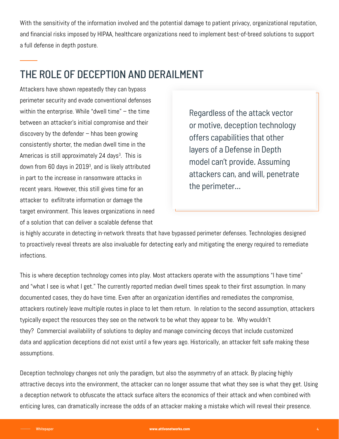With the sensitivity of the information involved and the potential damage to patient privacy, organizational reputation, and financial risks imposed by HIPAA, healthcare organizations need to implement best-of-breed solutions to support a full defense in depth posture.

# THE ROLE OF DECEPTION AND DERAILMENT

Attackers have shown repeatedly they can bypass perimeter security and evade conventional defenses within the enterprise. While "dwell time" – the time between an attacker's initial compromise and their discovery by the defender – hhas been growing consistently shorter, the median dwell time in the Americas is still approximately 24 days<sup>3</sup>. This is down from 60 days in 2019 $^{\circ}$ , and is likely attributed in part to the increase in ransomware attacks in recent years. However, this still gives time for an attacker to exfiltrate information or damage the target environment. This leaves organizations in need of a solution that can deliver a scalable defense that

Regardless of the attack vector or motive, deception technology offers capabilities that other layers of a Defense in Depth model can't provide. Assuming attackers can, and will, penetrate the perimeter...

is highly accurate in detecting in-network threats that have bypassed perimeter defenses. Technologies designed to proactively reveal threats are also invaluable for detecting early and mitigating the energy required to remediate infections.

This is where deception technology comes into play. Most attackers operate with the assumptions "I have time" and "what I see is what I get." The currently reported median dwell times speak to their first assumption. In many documented cases, they do have time. Even after an organization identifies and remediates the compromise, attackers routinely leave multiple routes in place to let them return. In relation to the second assumption, attackers typically expect the resources they see on the network to be what they appear to be. Why wouldn't they? Commercial availability of solutions to deploy and manage convincing decoys that include customized data and application deceptions did not exist until a few years ago. Historically, an attacker felt safe making these assumptions.

Deception technology changes not only the paradigm, but also the asymmetry of an attack. By placing highly attractive decoys into the environment, the attacker can no longer assume that what they see is what they get. Using a deception network to obfuscate the attack surface alters the economics of their attack and when combined with enticing lures, can dramatically increase the odds of an attacker making a mistake which will reveal their presence.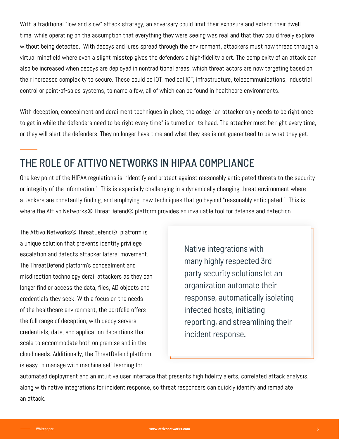With a traditional "low and slow" attack strategy, an adversary could limit their exposure and extend their dwell time, while operating on the assumption that everything they were seeing was real and that they could freely explore without being detected. With decoys and lures spread through the environment, attackers must now thread through a virtual minefield where even a slight misstep gives the defenders a high-fidelity alert. The complexity of an attack can also be increased when decoys are deployed in nontraditional areas, which threat actors are now targeting based on their increased complexity to secure. These could be IOT, medical IOT, infrastructure, telecommunications, industrial control or point-of-sales systems, to name a few, all of which can be found in healthcare environments.

With deception, concealment and derailment techniques in place, the adage "an attacker only needs to be right once to get in while the defenders need to be right every time" is turned on its head. The attacker must be right every time, or they will alert the defenders. They no longer have time and what they see is not guaranteed to be what they get.

## THE ROLE OF ATTIVO NETWORKS IN HIPAA COMPLIANCE

One key point of the HIPAA regulations is: "Identify and protect against reasonably anticipated threats to the security or integrity of the information." This is especially challenging in a dynamically changing threat environment where attackers are constantly finding, and employing, new techniques that go beyond "reasonably anticipated." This is where the Attivo Networks® ThreatDefend® platform provides an invaluable tool for defense and detection.

The Attivo Networks® ThreatDefend® platform is a unique solution that prevents identity privilege escalation and detects attacker lateral movement. The ThreatDefend platform's concealment and misdirection technology derail attackers as they can longer find or access the data, files, AD objects and credentials they seek. With a focus on the needs of the healthcare environment, the portfolio offers the full range of deception, with decoy servers, credentials, data, and application deceptions that scale to accommodate both on premise and in the cloud needs. Additionally, the ThreatDefend platform is easy to manage with machine self-learning for

Native integrations with many highly respected 3rd party security solutions let an organization automate their response, automatically isolating infected hosts, initiating reporting, and streamlining their incident response.

automated deployment and an intuitive user interface that presents high fidelity alerts, correlated attack analysis, along with native integrations for incident response, so threat responders can quickly identify and remediate an attack.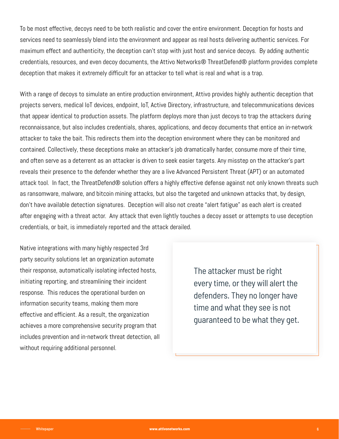To be most effective, decoys need to be both realistic and cover the entire environment. Deception for hosts and services need to seamlessly blend into the environment and appear as real hosts delivering authentic services. For maximum effect and authenticity, the deception can't stop with just host and service decoys. By adding authentic credentials, resources, and even decoy documents, the Attivo Networks® ThreatDefend® platform provides complete deception that makes it extremely difficult for an attacker to tell what is real and what is a trap.

With a range of decoys to simulate an entire production environment, Attivo provides highly authentic deception that projects servers, medical IoT devices, endpoint, IoT, Active Directory, infrastructure, and telecommunications devices that appear identical to production assets. The platform deploys more than just decoys to trap the attackers during reconnaissance, but also includes credentials, shares, applications, and decoy documents that entice an in-network attacker to take the bait. This redirects them into the deception environment where they can be monitored and contained. Collectively, these deceptions make an attacker's job dramatically harder, consume more of their time, and often serve as a deterrent as an attacker is driven to seek easier targets. Any misstep on the attacker's part reveals their presence to the defender whether they are a live Advanced Persistent Threat (APT) or an automated attack tool. In fact, the ThreatDefend® solution offers a highly effective defense against not only known threats such as ransomware, malware, and bitcoin mining attacks, but also the targeted and unknown attacks that, by design, don't have available detection signatures. Deception will also not create "alert fatigue" as each alert is created after engaging with a threat actor. Any attack that even lightly touches a decoy asset or attempts to use deception credentials, or bait, is immediately reported and the attack derailed.

Native integrations with many highly respected 3rd party security solutions let an organization automate their response, automatically isolating infected hosts, initiating reporting, and streamlining their incident response. This reduces the operational burden on information security teams, making them more effective and efficient. As a result, the organization achieves a more comprehensive security program that includes prevention and in-network threat detection, all without requiring additional personnel.

The attacker must be right every time, or they will alert the defenders. They no longer have time and what they see is not guaranteed to be what they get.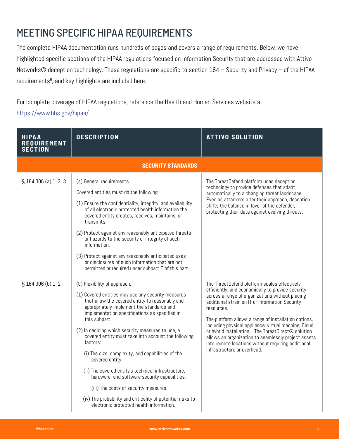# MEETING SPECIFIC HIPAA REQUIREMENTS

The complete HIPAA documentation runs hundreds of pages and covers a range of requirements. Below, we have highlighted specific sections of the HIPAA regulations focused on Information Security that are addressed with Attivo Networks® deception technology. These regulations are specific to section 164 – Security and Privacy – of the HIPAA requirements $^6$ , and key highlights are included here.

For complete coverage of HIPAA regulations, reference the Health and Human Services website at: https://www.hhs.gov/hipaa/

| <b>HIPAA</b><br><b>REQUIREMENT</b><br><b>SECTION</b> | <b>DESCRIPTION</b>                                                                                                                                                                                                                                                                                                                                                                                                                                                                                                                                                                                                                                                                                              | <b>ATTIVO SOLUTION</b>                                                                                                                                                                                                                                                                                                                                                                                                                                                                                                                    |  |  |  |
|------------------------------------------------------|-----------------------------------------------------------------------------------------------------------------------------------------------------------------------------------------------------------------------------------------------------------------------------------------------------------------------------------------------------------------------------------------------------------------------------------------------------------------------------------------------------------------------------------------------------------------------------------------------------------------------------------------------------------------------------------------------------------------|-------------------------------------------------------------------------------------------------------------------------------------------------------------------------------------------------------------------------------------------------------------------------------------------------------------------------------------------------------------------------------------------------------------------------------------------------------------------------------------------------------------------------------------------|--|--|--|
| <b>SECURITY STANDARDS</b>                            |                                                                                                                                                                                                                                                                                                                                                                                                                                                                                                                                                                                                                                                                                                                 |                                                                                                                                                                                                                                                                                                                                                                                                                                                                                                                                           |  |  |  |
| § 164.306 (a) 1, 2, 3                                | (a) General requirements.<br>Covered entities must do the following:<br>(1) Ensure the confidentiality, integrity, and availability<br>of all electronic protected health information the<br>covered entity creates, receives, maintains, or<br>transmits.<br>(2) Protect against any reasonably anticipated threats<br>or hazards to the security or integrity of such<br>information.<br>(3) Protect against any reasonably anticipated uses<br>or disclosures of such information that are not<br>permitted or required under subpart E of this part.                                                                                                                                                        | The ThreatDefend platform uses deception<br>technology to provide defenses that adapt<br>automatically to a changing threat landscape.<br>Even as attackers alter their approach, deception<br>shifts the balance in favor of the defender,<br>protecting their data against evolving threats.                                                                                                                                                                                                                                            |  |  |  |
| § 164.306 (b) 1, 2                                   | (b) Flexibility of approach.<br>(1) Covered entities may use any security measures<br>that allow the covered entity to reasonably and<br>appropriately implement the standards and<br>implementation specifications as specified in<br>this subpart.<br>(2) In deciding which security measures to use, a<br>covered entity must take into account the following<br>factors:<br>(i) The size, complexity, and capabilities of the<br>covered entity.<br>(ii) The covered entity's technical infrastructure,<br>hardware, and software security capabilities.<br>(iii) The costs of security measures.<br>(iv) The probability and criticality of potential risks to<br>electronic protected health information. | The ThreatDefend platform scales effectively,<br>efficiently, and economically to provide security<br>across a range of organizations without placing<br>additional strain on IT or Information Security<br>resources.<br>The platform allows a range of installation options,<br>including physical appliance, virtual machine, Cloud,<br>or hybrid installation. The ThreatDirect® solution<br>allows an organization to seamlessly project assets<br>into remote locations without requiring additional<br>infrastructure or overhead. |  |  |  |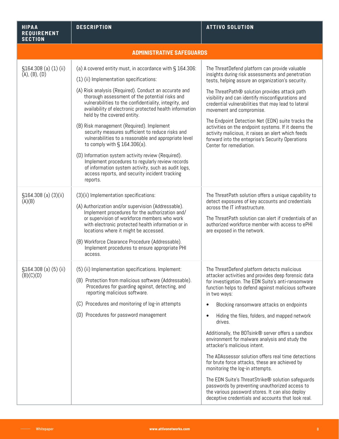| <b>HIPAA</b><br>REQUIREMENT<br><b>SECTION</b> | <b>DESCRIPTION</b>                                                                                                                                                                                                                                                                                                                                                                                               | <b>ATTIVO SOLUTION</b>                                                                                                                                                                                                                                                                                                                               |  |  |
|-----------------------------------------------|------------------------------------------------------------------------------------------------------------------------------------------------------------------------------------------------------------------------------------------------------------------------------------------------------------------------------------------------------------------------------------------------------------------|------------------------------------------------------------------------------------------------------------------------------------------------------------------------------------------------------------------------------------------------------------------------------------------------------------------------------------------------------|--|--|
| <b>ADMINISTRATIVE SAFEGUARDS</b>              |                                                                                                                                                                                                                                                                                                                                                                                                                  |                                                                                                                                                                                                                                                                                                                                                      |  |  |
| $$164.308$ (a) $(1)$ (ii)<br>(A), (B), (D)    | (a) A covered entity must, in accordance with § 164.306:                                                                                                                                                                                                                                                                                                                                                         | The ThreatDefend platform can provide valuable                                                                                                                                                                                                                                                                                                       |  |  |
|                                               | (1) (ii) Implementation specifications:                                                                                                                                                                                                                                                                                                                                                                          | insights during risk assessments and penetration<br>tests, helping assure an organization's security.                                                                                                                                                                                                                                                |  |  |
|                                               | (A) Risk analysis (Required). Conduct an accurate and<br>thorough assessment of the potential risks and<br>vulnerabilities to the confidentiality, integrity, and<br>availability of electronic protected health information<br>held by the covered entity.                                                                                                                                                      | The ThreatPath® solution provides attack path<br>visibility and can identify misconfigurations and<br>credential vulnerabilities that may lead to lateral<br>movement and compromise.                                                                                                                                                                |  |  |
|                                               | (B) Risk management (Required). Implement<br>security measures sufficient to reduce risks and<br>vulnerabilities to a reasonable and appropriate level<br>to comply with $\S$ 164.306(a).                                                                                                                                                                                                                        | The Endpoint Detection Net (EDN) suite tracks the<br>activities on the endpoint systems. If it deems the<br>activity malicious, it raises an alert which feeds<br>forward into the enteprise's Security Operations<br>Center for remediation.                                                                                                        |  |  |
|                                               | (D) Information system activity review (Required).<br>Implement procedures to regularly review records<br>of information system activity, such as audit logs,<br>access reports, and security incident tracking<br>reports.                                                                                                                                                                                      |                                                                                                                                                                                                                                                                                                                                                      |  |  |
| $$164.308$ (a) $(3)(ii)$<br>(A)(B)            | (3)(ii) Implementation specifications:<br>(A) Authorization and/or supervision (Addressable).<br>Implement procedures for the authorization and/<br>or supervision of workforce members who work<br>with electronic protected health information or in<br>locations where it might be accessed.<br>(B) Workforce Clearance Procedure (Addressable).<br>Implement procedures to ensure appropriate PHI<br>access. | The ThreatPath solution offers a unique capability to<br>detect exposures of key accounts and credentials<br>across the IT infrastructure.<br>The ThreatPath solution can alert if credentials of an<br>authorized workforce member with access to ePHI<br>are exposed in the network.                                                               |  |  |
| $$164.308$ (a) (5) (ii)<br>(B)(C)(D)          | (5) (ii) Implementation specifications. Implement:<br>(B) Protection from malicious software (Addressable).<br>Procedures for guarding against, detecting, and<br>reporting malicious software.<br>(C) Procedures and monitoring of log-in attempts<br>(D) Procedures for password management                                                                                                                    | The ThreatDefend platform detects malicious<br>attacker activities and provides deep forensic data<br>for investigation. The EDN Suite's anti-ransomware<br>function helps to defend against malicious software<br>in two ways:<br>Blocking ransomware attacks on endpoints<br>Hiding the files, folders, and mapped network<br>$\bullet$<br>drives. |  |  |
|                                               |                                                                                                                                                                                                                                                                                                                                                                                                                  | Additionally, the BOTsink® server offers a sandbox<br>environment for malware analysis and study the<br>attacker's malicious intent.                                                                                                                                                                                                                 |  |  |
|                                               |                                                                                                                                                                                                                                                                                                                                                                                                                  | The ADAssessor solution offers real time detections<br>for brute force attacks, these are achieved by<br>monitoring the log-in attempts.                                                                                                                                                                                                             |  |  |
|                                               |                                                                                                                                                                                                                                                                                                                                                                                                                  | The EDN Suite's ThreatStrike® solution safeguards<br>passwords by preventing unauthorized access to<br>the various password stores. It can also deploy<br>deceptive credentials and accounts that look real.                                                                                                                                         |  |  |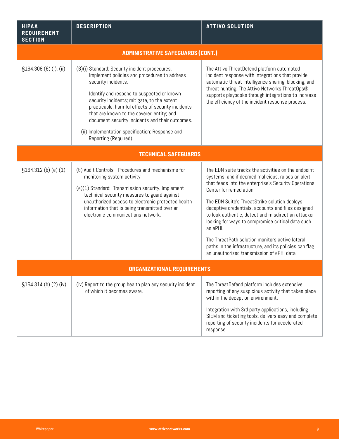| <b>HIPAA</b><br><b>REQUIREMENT</b><br><b>SECTION</b> | <b>DESCRIPTION</b>                                                                                                                                                                                                                                                                                                                                                                                                                                   | <b>ATTIVO SOLUTION</b>                                                                                                                                                                                                                                                                                                                                                                                                                                                                                                                                                                |  |  |
|------------------------------------------------------|------------------------------------------------------------------------------------------------------------------------------------------------------------------------------------------------------------------------------------------------------------------------------------------------------------------------------------------------------------------------------------------------------------------------------------------------------|---------------------------------------------------------------------------------------------------------------------------------------------------------------------------------------------------------------------------------------------------------------------------------------------------------------------------------------------------------------------------------------------------------------------------------------------------------------------------------------------------------------------------------------------------------------------------------------|--|--|
| <b>ADMINISTRATIVE SAFEGUARDS (CONT.)</b>             |                                                                                                                                                                                                                                                                                                                                                                                                                                                      |                                                                                                                                                                                                                                                                                                                                                                                                                                                                                                                                                                                       |  |  |
| §164.308 (6) (i), (ii)                               | (6)(i) Standard: Security incident procedures.<br>Implement policies and procedures to address<br>security incidents.<br>Identify and respond to suspected or known<br>security incidents; mitigate, to the extent<br>practicable, harmful effects of security incidents<br>that are known to the covered entity; and<br>document security incidents and their outcomes.<br>(ii) Implementation specification: Response and<br>Reporting (Required). | The Attivo ThreatDefend platform automated<br>incident response with integrations that provide<br>automatic threat intelligence sharing, blocking, and<br>threat hunting. The Attivo Networks ThreatOps®<br>supports playbooks through integrations to increase<br>the efficiency of the incident response process.                                                                                                                                                                                                                                                                   |  |  |
| <b>TECHNICAL SAFEGUARDS</b>                          |                                                                                                                                                                                                                                                                                                                                                                                                                                                      |                                                                                                                                                                                                                                                                                                                                                                                                                                                                                                                                                                                       |  |  |
| §164.312 (b) (e) (1)                                 | (b) Audit Controls - Procedures and mechanisms for<br>monitoring system activity<br>(e)(1) Standard: Transmission security. Implement<br>technical security measures to guard against<br>unauthorized access to electronic protected health<br>information that is being transmitted over an<br>electronic communications network.                                                                                                                   | The EDN suite tracks the activities on the endpoint<br>systems, and if deemed malicious, raises an alert<br>that feeds into the enterprise's Security Operations<br>Center for remediation.<br>The EDN Suite's ThreatStrike solution deploys<br>deceptive credentials, accounts and files designed<br>to look authentic, detect and misdirect an attacker<br>looking for ways to compromise critical data such<br>as ePHI.<br>The ThreatPath solution monitors active lateral<br>paths in the infrastructure, and its policies can flag<br>an unauthorized transmission of ePHI data. |  |  |
| <b>ORGANIZATIONAL REQUIREMENTS</b>                   |                                                                                                                                                                                                                                                                                                                                                                                                                                                      |                                                                                                                                                                                                                                                                                                                                                                                                                                                                                                                                                                                       |  |  |
| \$164.314 (b) (2) (iv)                               | (iv) Report to the group health plan any security incident<br>of which it becomes aware.                                                                                                                                                                                                                                                                                                                                                             | The ThreatDefend platform includes extensive<br>reporting of any suspicious activity that takes place<br>within the deception environment.<br>Integration with 3rd party applications, including<br>SIEM and ticketing tools, delivers easy and complete<br>reporting of security incidents for accelerated<br>response.                                                                                                                                                                                                                                                              |  |  |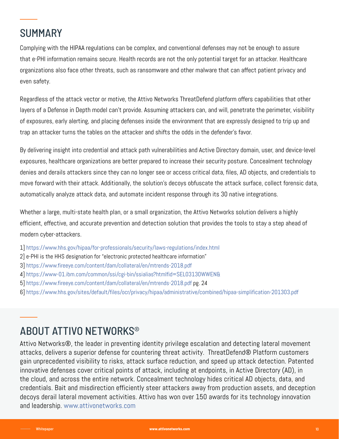## **SUMMARY**

Complying with the HIPAA regulations can be complex, and conventional defenses may not be enough to assure that e-PHI information remains secure. Health records are not the only potential target for an attacker. Healthcare organizations also face other threats, such as ransomware and other malware that can affect patient privacy and even safety.

Regardless of the attack vector or motive, the Attivo Networks ThreatDefend platform offers capabilities that other layers of a Defense in Depth model can't provide. Assuming attackers can, and will, penetrate the perimeter, visibility of exposures, early alerting, and placing defenses inside the environment that are expressly designed to trip up and trap an attacker turns the tables on the attacker and shifts the odds in the defender's favor.

By delivering insight into credential and attack path vulnerabilities and Active Directory domain, user, and device-level exposures, healthcare organizations are better prepared to increase their security posture. Concealment technology denies and derails attackers since they can no longer see or access critical data, files, AD objects, and credentials to move forward with their attack. Additionally, the solution's decoys obfuscate the attack surface, collect forensic data, automatically analyze attack data, and automate incident response through its 30 native integrations.

Whether a large, multi-state health plan, or a small organization, the Attivo Networks solution delivers a highly efficient, effective, and accurate prevention and detection solution that provides the tools to stay a step ahead of modern cyber-attackers.

- 1] https://www.hhs.gov/hipaa/for-professionals/security/laws-regulations/index.html
- 2] e-PHI is the HHS designation for "electronic protected healthcare information"
- 3] https://www.fireeye.com/content/dam/collateral/en/mtrends-2018.pdf
- 4] https://www-01.ibm.com/common/ssi/cgi-bin/ssialias?htmlfid=SEL03130WWEN&
- 5] https://www.fireeye.com/content/dam/collateral/en/mtrends-2018.pdf pg. 24
- 6] https://www.hhs.gov/sites/default/files/ocr/privacy/hipaa/administrative/combined/hipaa-simplification-201303.pdf

## ABOUT ATTIVO NETWORKS®

Attivo Networks®, the leader in preventing identity privilege escalation and detecting lateral movement attacks, delivers a superior defense for countering threat activity. ThreatDefend® Platform customers gain unprecedented visibility to risks, attack surface reduction, and speed up attack detection. Patented innovative defenses cover critical points of attack, including at endpoints, in Active Directory (AD), in the cloud, and across the entire network. Concealment technology hides critical AD objects, data, and credentials. Bait and misdirection efficiently steer attackers away from production assets, and deception decoys derail lateral movement activities. Attivo has won over 150 awards for its technology innovation and leadership. www.attivonetworks.com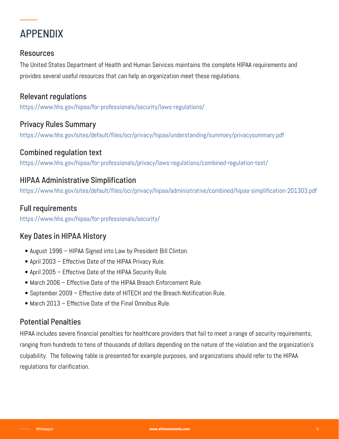

#### Resources

The United States Department of Health and Human Services maintains the complete HIPAA requirements and provides several useful resources that can help an organization meet these regulations.

## Relevant regulations

https://www.hhs.gov/hipaa/for-professionals/security/laws-regulations/

## Privacy Rules Summary

https://www.hhs.gov/sites/default/files/ocr/privacy/hipaa/understanding/summary/privacysummary.pdf

#### Combined regulation text

https://www.hhs.gov/hipaa/for-professionals/privacy/laws-regulations/combined-regulation-text/

## HIPAA Administrative Simplification

https://www.hhs.gov/sites/default/files/ocr/privacy/hipaa/administrative/combined/hipaa-simplification-201303.pdf

#### Full requirements

https://www.hhs.gov/hipaa/for-professionals/security/

## Key Dates in HIPAA History

- August 1996 HIPAA Signed into Law by President Bill Clinton.
- April 2003 Effective Date of the HIPAA Privacy Rule.
- April 2005 Effective Date of the HIPAA Security Rule.
- March 2006 Effective Date of the HIPAA Breach Enforcement Rule.
- September 2009 Effective date of HITECH and the Breach Notification Rule.
- March 2013 Effective Date of the Final Omnibus Rule.

## Potential Penalties

HIPAA includes severe financial penalties for healthcare providers that fail to meet a range of security requirements, ranging from hundreds to tens of thousands of dollars depending on the nature of the violation and the organization's culpability. The following table is presented for example purposes, and organizations should refer to the HIPAA regulations for clarification.